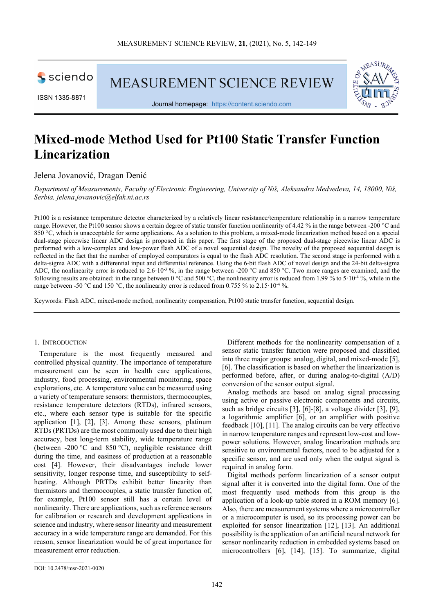sciendo

**MEASUREMENT SCIENCE REVIEW** 



Journal homepage: [https://content.sciendo.com](https://content.sciendo.com/view/journals/msr/msr-overview.xml)

# **Mixed-mode Method Used for Pt100 Static Transfer Function Linearization**

Jelena Jovanović, Dragan Denić

*Department of Measurements, Faculty of Electronic Engineering, University of Niš, Aleksandra Medvedeva, 14, 18000, Niš, Serbia, jelena.jovanovic@elfak.ni.ac.rs*

Pt100 is a resistance temperature detector characterized by a relatively linear resistance/temperature relationship in a narrow temperature range. However, the Pt100 sensor shows a certain degree of static transfer function nonlinearity of 4.42 % in the range between -200 °C and 850 °C, which is unacceptable for some applications. As a solution to this problem, a mixed-mode linearization method based on a special dual-stage piecewise linear ADC design is proposed in this paper. The first stage of the proposed dual-stage piecewise linear ADC is performed with a low-complex and low-power flash ADC of a novel sequential design. The novelty of the proposed sequential design is reflected in the fact that the number of employed comparators is equal to the flash ADC resolution. The second stage is performed with a delta-sigma ADC with a differential input and differential reference. Using the 6-bit flash ADC of novel design and the 24-bit delta-sigma ADC, the nonlinearity error is reduced to 2.6·10<sup>-3</sup> %, in the range between -200 °C and 850 °C. Two more ranges are examined, and the following results are obtained: in the range between 0 °C and 500 °C, the nonlinearity error is reduced from 1.99 % to 5·10-4 %, while in the range between -50 °C and 150 °C, the nonlinearity error is reduced from 0.755 % to 2.15  $10^{-4}$  %.

Keywords: Flash ADC, mixed-mode method, nonlinearity compensation, Pt100 static transfer function, sequential design.

#### 1. INTRODUCTION

Temperature is the most frequently measured and controlled physical quantity. The importance of temperature measurement can be seen in health care applications, industry, food processing, environmental monitoring, space explorations, etc. A temperature value can be measured using a variety of temperature sensors: thermistors, thermocouples, resistance temperature detectors (RTDs), infrared sensors, etc., where each sensor type is suitable for the specific application [1], [2], [3]. Among these sensors, platinum RTDs (PRTDs) are the most commonly used due to their high accuracy, best long-term stability, wide temperature range (between -200 °C and 850 °C), negligible resistance drift during the time, and easiness of production at a reasonable cost [4]. However, their disadvantages include lower sensitivity, longer response time, and susceptibility to selfheating. Although PRTDs exhibit better linearity than thermistors and thermocouples, a static transfer function of, for example, Pt100 sensor still has a certain level of nonlinearity. There are applications, such as reference sensors for calibration or research and development applications in science and industry, where sensor linearity and measurement accuracy in a wide temperature range are demanded. For this reason, sensor linearization would be of great importance for measurement error reduction.

Different methods for the nonlinearity compensation of a sensor static transfer function were proposed and classified into three major groups: analog, digital, and mixed-mode [5], [6]. The classification is based on whether the linearization is performed before, after, or during analog-to-digital (A/D) conversion of the sensor output signal.

Analog methods are based on analog signal processing using active or passive electronic components and circuits, such as bridge circuits [3], [6]-[8], a voltage divider [3], [9], a logarithmic amplifier [6], or an amplifier with positive feedback [10], [11]. The analog circuits can be very effective in narrow temperature ranges and represent low-cost and lowpower solutions. However, analog linearization methods are sensitive to environmental factors, need to be adjusted for a specific sensor, and are used only when the output signal is required in analog form.

Digital methods perform linearization of a sensor output signal after it is converted into the digital form. One of the most frequently used methods from this group is the application of a look-up table stored in a ROM memory [6]. Also, there are measurement systems where a microcontroller or a microcomputer is used, so its processing power can be exploited for sensor linearization [12], [13]. An additional possibility is the application of an artificial neural network for sensor nonlinearity reduction in embedded systems based on microcontrollers [6], [14], [15]. To summarize, digital

 $\mathcal{L}_\text{max}$  and  $\mathcal{L}_\text{max}$  and  $\mathcal{L}_\text{max}$ 

DOI: 10.2478/msr-2021-0020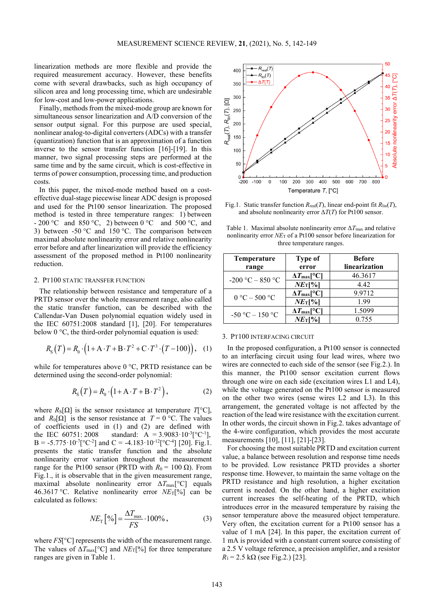linearization methods are more flexible and provide the required measurement accuracy. However, these benefits come with several drawbacks, such as high occupancy of silicon area and long processing time, which are undesirable for low-cost and low-power applications.

Finally, methods from the mixed-mode group are known for simultaneous sensor linearization and A/D conversion of the sensor output signal. For this purpose are used special, nonlinear analog-to-digital converters (ADCs) with a transfer (quantization) function that is an approximation of a function inverse to the sensor transfer function [16]-[19]. In this manner, two signal processing steps are performed at the same time and by the same circuit, which is cost-effective in terms of power consumption, processing time, and production costs.

In this paper, the mixed-mode method based on a costeffective dual-stage piecewise linear ADC design is proposed and used for the Pt100 sensor linearization. The proposed method is tested in three temperature ranges: 1) between - 200 °C and 850 °C, 2) between 0 °C and 500 °C, and 3) between  $-50 \degree C$  and  $150 \degree C$ . The comparison between maximal absolute nonlinearity error and relative nonlinearity error before and after linearization will provide the efficiency assessment of the proposed method in Pt100 nonlinearity reduction.

## 2. PT100 STATIC TRANSFER FUNCTION

The relationship between resistance and temperature of a PRTD sensor over the whole measurement range, also called the static transfer function, can be described with the Callendar-Van Dusen polynomial equation widely used in the IEC 60751:2008 standard [1], [20]. For temperatures below 0 °C, the third-order polynomial equation is used:

$$
R_{\rm s}(T) = R_0 \cdot (1 + A \cdot T + B \cdot T^2 + C \cdot T^3 \cdot (T - 100)), \quad (1)
$$

while for temperatures above 0 °C, PRTD resistance can be determined using the second-order polynomial:

$$
R_{\rm s}(T) = R_0 \cdot (1 + A \cdot T + B \cdot T^2), \qquad (2)
$$

where  $R_S[\Omega]$  is the sensor resistance at temperature  $T[\mathcal{C}]$ , and  $R_0[\Omega]$  is the sensor resistance at  $T = 0$  °C. The values of coefficients used in (1) and (2) are defined with the IEC 60751: 2008 standard: A = 3.9083 $\cdot 10^{-3}$ [°C<sup>-1</sup>],  $B = -5.775 \cdot 10^{-7} [^{\circ}C^{-2}]$  and  $C = -4.183 \cdot 10^{-12} [^{\circ}C^{-4}]$  [20]. Fig.1. presents the static transfer function and the absolute nonlinearity error variation throughout the measurement range for the Pt100 sensor (PRTD with  $R_0 = 100 \Omega$ ). From Fig.1., it is observable that in the given measurement range, maximal absolute nonlinearity error  $\Delta T_{\text{max}}$ <sup>[°</sup>C] equals 46.3617 °C. Relative nonlinearity error *NE*T[%] can be calculated as follows:

$$
NE_{\rm T}\left[\%\right] = \frac{\Delta T_{\rm max}}{FS} \cdot 100\% \,,\tag{3}
$$

where *FS*[°C] represents the width of the measurement range. The values of  $\Delta T_{\text{max}}$ <sup>o</sup>C] and  $NE_{\text{T}}$ [%] for three temperature ranges are given in Table 1.



Fig.1. Static transfer function *R*real(*T*), linear end-point fit *R*lin(*T*), and absolute nonlinearity error  $\Delta T(T)$  for Pt100 sensor.

Table 1. Maximal absolute nonlinearity error Δ*T*max and relative nonlinearity error *NE*<sup>T</sup> of a Pt100 sensor before linearization for three temperature ranges.

| Temperature       | <b>Type of</b>                       | <b>Before</b> |  |
|-------------------|--------------------------------------|---------------|--|
| range             | error                                | linearization |  |
| -200 °C - 850 °C  | $\Delta T_{\rm max}$ [°C]            | 46.3617       |  |
|                   | $NE$ <sub>I</sub> $\%$ ]             | 4.42          |  |
| $0 °C - 500 °C$   | $\Delta T_{\rm max}$ [°C]            | 9.9712        |  |
|                   | $NE$ <sub>I</sub> $\%$ ]             | 199           |  |
| $-50 °C - 150 °C$ | $\Delta T_{\rm max}$ [°C]            | 1.5099        |  |
|                   | $NE$ <sub>T</sub> $\left[\% \right]$ | 0.755         |  |

#### 3. PT100 INTERFACING CIRCUIT

In the proposed configuration, a Pt100 sensor is connected to an interfacing circuit using four lead wires, where two wires are connected to each side of the sensor (see Fig.2.). In this manner, the Pt100 sensor excitation current flows through one wire on each side (excitation wires L1 and L4), while the voltage generated on the Pt100 sensor is measured on the other two wires (sense wires L2 and L3). In this arrangement, the generated voltage is not affected by the reaction of the lead wire resistance with the excitation current. In other words, the circuit shown in Fig.2. takes advantage of the 4-wire configuration, which provides the most accurate measurements [10], [11], [21]-[23].

For choosing the most suitable PRTD and excitation current value, a balance between resolution and response time needs to be provided. Low resistance PRTD provides a shorter response time. However, to maintain the same voltage on the PRTD resistance and high resolution, a higher excitation current is needed. On the other hand, a higher excitation current increases the self-heating of the PRTD, which introduces error in the measured temperature by raising the sensor temperature above the measured object temperature. Very often, the excitation current for a Pt100 sensor has a value of 1 mA [24]. In this paper, the excitation current of 1 mA is provided with a constant current source consisting of a 2.5 V voltage reference, a precision amplifier, and a resistor  $R_1 = 2.5 \text{ k}\Omega$  (see Fig.2.) [23].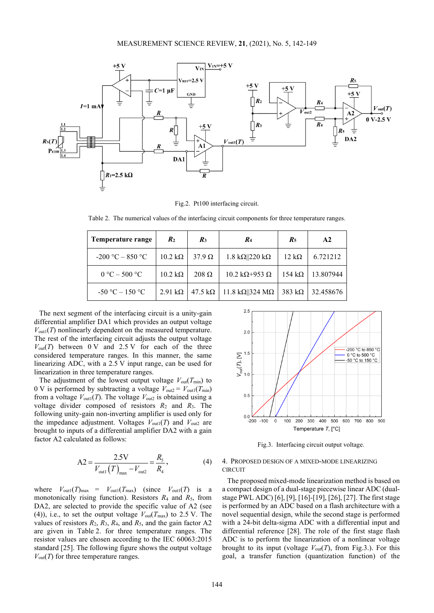

Fig.2. Pt100 interfacing circuit.

Table 2. The numerical values of the interfacing circuit components for three temperature ranges.

| Temperature range  | $\mathbf{R}_2$         | $R_3$                  | $R_4$                            | $R_5$                | $\mathbf{A2}$ |
|--------------------|------------------------|------------------------|----------------------------------|----------------------|---------------|
| $-200 °C - 850 °C$ | $10.2 \text{ k}\Omega$ | $37.9 \Omega$          | 1.8 k $\Omega$   220 k $\Omega$  | $12 \text{ k}\Omega$ | 6.721212      |
| $0 °C - 500 °C$    | $10.2 \text{ k}\Omega$ | $208 \Omega$           | 10.2 k $\Omega$ +953 $\Omega$    | 154 k $\Omega$       | 13.807944     |
| $-50 °C - 150 °C$  | $2.91 \text{ k}\Omega$ | $47.5 \text{ k}\Omega$ | 11.8 k $\Omega$   324 M $\Omega$ | 383 k $\Omega$       | 32.458676     |

The next segment of the interfacing circuit is a unity-gain differential amplifier DA1 which provides an output voltage  $V_{\text{out1}}(T)$  nonlinearly dependent on the measured temperature. The rest of the interfacing circuit adjusts the output voltage  $V_{\text{out}}(T)$  between 0 V and 2.5 V for each of the three considered temperature ranges. In this manner, the same linearizing ADC, with a 2.5 V input range, can be used for linearization in three temperature ranges.

The adjustment of the lowest output voltage  $V_{\text{out}}(T_{\text{min}})$  to 0 V is performed by subtracting a voltage  $V_{\text{out2}} = V_{\text{out1}}(T_{\text{min}})$ from a voltage  $V_{\text{out1}}(T)$ . The voltage  $V_{\text{out2}}$  is obtained using a voltage divider composed of resistors *R*<sup>2</sup> and *R*3. The following unity-gain non-inverting amplifier is used only for the impedance adjustment. Voltages  $V_{\text{out1}}(T)$  and  $V_{\text{out2}}$  are brought to inputs of a differential amplifier DA2 with a gain factor A2 calculated as follows:

$$
A2 = \frac{2.5V}{V_{\text{out}1}(T)_{\text{max}} - V_{\text{out}2}} = \frac{R_{\text{s}}}{R_{\text{4}}},
$$
(4)

where  $V_{\text{out1}}(T)_{\text{max}} = V_{\text{out1}}(T_{\text{max}})$  (since  $V_{\text{out1}}(T)$  is a monotonically rising function). Resistors  $R_4$  and  $R_5$ , from DA2, are selected to provide the specific value of A2 (see (4)), i.e., to set the output voltage  $V_{out}(T_{max})$  to 2.5 V. The values of resistors  $R_2$ ,  $R_3$ ,  $R_4$ , and  $R_5$ , and the gain factor A2 are given in Table 2. for three temperature ranges. The resistor values are chosen according to the IEC 60063:2015 standard [25]. The following figure shows the output voltage  $V_{\text{out}}(T)$  for three temperature ranges.



Fig.3. Interfacing circuit output voltage.

## 4. PROPOSED DESIGN OF A MIXED-MODE LINEARIZING CIRCUIT

The proposed mixed-mode linearization method is based on a compact design of a dual-stage piecewise linear ADC (dualstage PWL ADC) [6], [9], [16]-[19], [26], [27]. The first stage is performed by an ADC based on a flash architecture with a novel sequential design, while the second stage is performed with a 24-bit delta-sigma ADC with a differential input and differential reference [28]. The role of the first stage flash ADC is to perform the linearization of a nonlinear voltage brought to its input (voltage  $V_{out}(T)$ , from Fig.3.). For this goal, a transfer function (quantization function) of the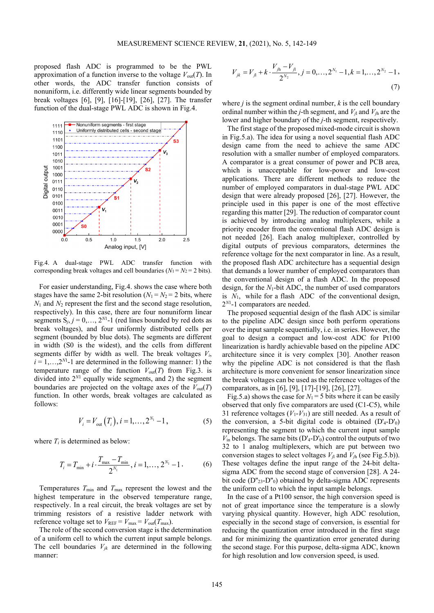proposed flash ADC is programmed to be the PWL approximation of a function inverse to the voltage  $V_{out}(T)$ . In other words, the ADC transfer function consists of nonuniform, i.e. differently wide linear segments bounded by break voltages [6], [9], [16]-[19], [26], [27]. The transfer function of the dual-stage PWL ADC is shown in Fig.4.



Fig.4. A dual-stage PWL ADC transfer function with corresponding break voltages and cell boundaries  $(N_1 = N_2 = 2$  bits).

For easier understanding, Fig.4. shows the case where both stages have the same 2-bit resolution  $(N_1 = N_2 = 2$  bits, where *N*<sup>1</sup> and *N*<sup>2</sup> represent the first and the second stage resolution, respectively). In this case, there are four nonuniform linear segments  $S_j$ ,  $j = 0, \ldots, 2^{N}$ -1 (red lines bounded by red dots as break voltages), and four uniformly distributed cells per segment (bounded by blue dots). The segments are different in width (S0 is the widest), and the cells from different segments differ by width as well. The break voltages *Vi*,  $i = 1, \ldots, 2^{N}$ -1 are determined in the following manner: 1) the temperature range of the function  $V_{out}(T)$  from Fig.3. is divided into 2*<sup>N</sup>*<sup>1</sup> equally wide segments, and 2) the segment boundaries are projected on the voltage axes of the  $V_{\text{out}}(T)$ function. In other words, break voltages are calculated as follows:

$$
V_i = V_{out}(T_i), i = 1,..., 2^{N_1} - 1,
$$
 (5)

where  $T_i$  is determined as below:

$$
T_i = T_{\min} + i \cdot \frac{T_{\max} - T_{\min}}{2^{N_1}}, \quad i = 1, \dots, 2^{N_1} - 1 \tag{6}
$$

Temperatures *T*min and *T*max represent the lowest and the highest temperature in the observed temperature range, respectively. In a real circuit, the break voltages are set by trimming resistors of a resistive ladder network with reference voltage set to  $V_{REF} = V_{max} = V_{out}(T_{max})$ .

The role of the second conversion stage is the determination of a uniform cell to which the current input sample belongs. The cell boundaries  $V_{ik}$  are determined in the following manner:

$$
V_{jk} = V_{j1} + k \cdot \frac{V_{jh} - V_{j1}}{2^{N_2}}, j = 0, ..., 2^{N_1} - 1, k = 1, ..., 2^{N_2} - 1,
$$
\n(7)

where *j* is the segment ordinal number, *k* is the cell boundary ordinal number within the *j*-th segment, and  $V_{i1}$  and  $V_{ih}$  are the lower and higher boundary of the *j*-th segment, respectively.

The first stage of the proposed mixed-mode circuit is shown in Fig.5.a). The idea for using a novel sequential flash ADC design came from the need to achieve the same ADC resolution with a smaller number of employed comparators. A comparator is a great consumer of power and PCB area, which is unacceptable for low-power and low-cost applications. There are different methods to reduce the number of employed comparators in dual-stage PWL ADC design that were already proposed [26], [27]. However, the principle used in this paper is one of the most effective regarding this matter [29]. The reduction of comparator count is achieved by introducing analog multiplexers, while a priority encoder from the conventional flash ADC design is not needed [26]. Each analog multiplexer, controlled by digital outputs of previous comparators, determines the reference voltage for the next comparator in line. As a result, the proposed flash ADC architecture has a sequential design that demands a lower number of employed comparators than the conventional design of a flash ADC. In the proposed design, for the *N*1-bit ADC, the number of used comparators is *N*1, while for a flash ADC of the conventional design, 2*<sup>N</sup>*<sup>1</sup> -1 comparators are needed.

The proposed sequential design of the flash ADC is similar to the pipeline ADC design since both perform operations over the input sample sequentially, i.e. in series. However, the goal to design a compact and low-cost ADC for Pt100 linearization is hardly achievable based on the pipeline ADC architecture since it is very complex [30]. Another reason why the pipeline ADC is not considered is that the flash architecture is more convenient for sensor linearization since the break voltages can be used as the reference voltages of the comparators, as in [6], [9], [17]-[19], [26], [27].

Fig.5.a) shows the case for  $N_1 = 5$  bits where it can be easily observed that only five comparators are used (C1-C5), while 31 reference voltages  $(V_1 - V_3)$  are still needed. As a result of the conversion, a 5-bit digital code is obtained  $(D'_{4}-D'_{0})$ representing the segment to which the current input sample  $V_{\text{in}}$  belongs. The same bits  $(D'_{4}-D'_{0})$  control the outputs of two 32 to 1 analog multiplexers, which are put between two conversion stages to select voltages  $V_{i1}$  and  $V_{ih}$  (see Fig.5.b)). These voltages define the input range of the 24-bit deltasigma ADC from the second stage of conversion [28]. A 24 bit code  $(D''_{23} - D''_0)$  obtained by delta-sigma ADC represents the uniform cell to which the input sample belongs.

In the case of a Pt100 sensor, the high conversion speed is not of great importance since the temperature is a slowly varying physical quantity. However, high ADC resolution, especially in the second stage of conversion, is essential for reducing the quantization error introduced in the first stage and for minimizing the quantization error generated during the second stage. For this purpose, delta-sigma ADC, known for high resolution and low conversion speed, is used.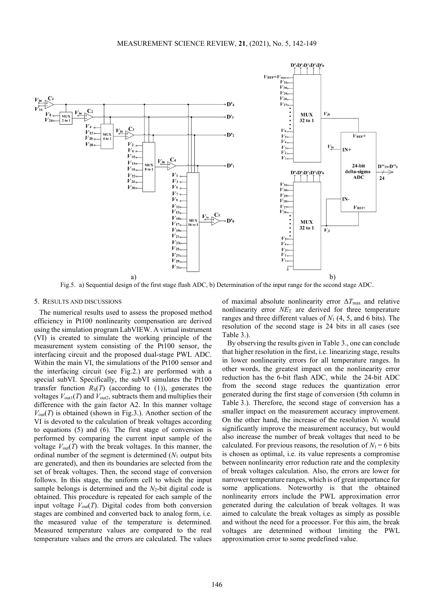

Fig.5. a) Sequential design of the first stage flash ADC, b) Determination of the input range for the second stage ADC.

### 5. RESULTS AND DISCUSSIONS

The numerical results used to assess the proposed method efficiency in Pt100 nonlinearity compensation are derived using the simulation program LabVIEW. A virtual instrument (VI) is created to simulate the working principle of the measurement system consisting of the Pt100 sensor, the interfacing circuit and the proposed dual-stage PWL ADC. Within the main VI, the simulations of the Pt100 sensor and the interfacing circuit (see Fig.2.) are performed with a special subVI. Specifically, the subVI simulates the Pt100 transfer function  $R_S(T)$  (according to (1)), generates the voltages  $V_{\text{out1}}(T)$  and  $V_{\text{out2}}$ , subtracts them and multiplies their difference with the gain factor A2. In this manner voltage  $V_{\text{out}}(T)$  is obtained (shown in Fig.3.). Another section of the VI is devoted to the calculation of break voltages according to equations (5) and (6). The first stage of conversion is performed by comparing the current input sample of the voltage  $V_{out}(T)$  with the break voltages. In this manner, the ordinal number of the segment is determined (*N*<sup>1</sup> output bits are generated), and then its boundaries are selected from the set of break voltages. Then, the second stage of conversion follows. In this stage, the uniform cell to which the input sample belongs is determined and the  $N_2$ -bit digital code is obtained. This procedure is repeated for each sample of the input voltage  $V_{out}(T)$ . Digital codes from both conversion stages are combined and converted back to analog form, i.e. the measured value of the temperature is determined. Measured temperature values are compared to the real temperature values and the errors are calculated. The values of maximal absolute nonlinearity error Δ*T*max and relative nonlinearity error *NE*<sup>T</sup> are derived for three temperature ranges and three different values of *N*<sup>1</sup> (4, 5, and 6 bits). The resolution of the second stage is 24 bits in all cases (see Table 3.).

By observing the results given in Table 3., one can conclude that higher resolution in the first, i.e. linearizing stage, results in lower nonlinearity errors for all temperature ranges. In other words, the greatest impact on the nonlinearity error reduction has the 6-bit flash ADC, while the 24-bit ADC from the second stage reduces the quantization error generated during the first stage of conversion (5th column in Table 3.). Therefore, the second stage of conversion has a smaller impact on the measurement accuracy improvement. On the other hand, the increase of the resolution  $N_1$  would significantly improve the measurement accuracy, but would also increase the number of break voltages that need to be calculated. For previous reasons, the resolution of  $N_1 = 6$  bits is chosen as optimal, i.e. its value represents a compromise between nonlinearity error reduction rate and the complexity of break voltages calculation. Also, the errors are lower for narrower temperature ranges, which is of great importance for some applications. Noteworthy is that the obtained nonlinearity errors include the PWL approximation error generated during the calculation of break voltages. It was aimed to calculate the break voltages as simply as possible and without the need for a processor. For this aim, the break voltages are determined without limiting the PWL approximation error to some predefined value.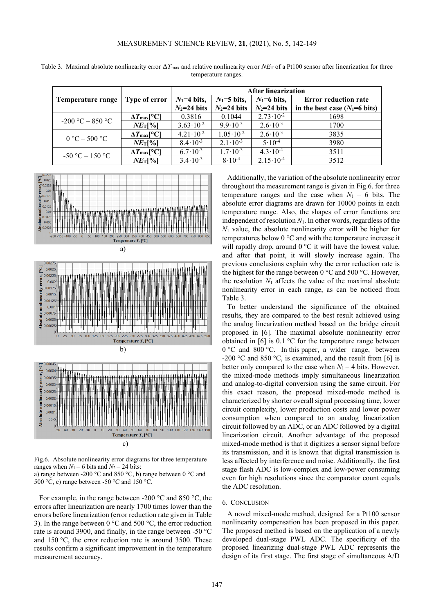|                      |                           | <b>After linearization</b> |                      |                      |                                 |
|----------------------|---------------------------|----------------------------|----------------------|----------------------|---------------------------------|
| Temperature range    | Type of error             | $N_1=4$ bits,              | $N_1=5$ bits,        | $N_1=6$ bits,        | <b>Error reduction rate</b>     |
|                      |                           | $N_2=24$ bits              | $N_2=24$ bits        | $N_2=24$ bits        | in the best case $(N_1=6$ bits) |
| $-200$ °C $-$ 850 °C | $\Delta T_{\rm max}$ [°C] | 0.3816                     | 0.1044               | $2.73 \cdot 10^{-2}$ | 1698                            |
|                      | $NE$ <sub>T</sub> $\%$ ]  | $3.63 \cdot 10^{-2}$       | $9.9 \cdot 10^{-3}$  | $2.6 \cdot 10^{-3}$  | 1700                            |
| $0 °C - 500 °C$      | $\Delta T_{\rm max}$ [°C] | $4.21 \cdot 10^{-2}$       | $1.05 \cdot 10^{-2}$ | $2.6 \cdot 10^{-3}$  | 3835                            |
|                      | $NE$ <sub>T</sub> $\%$ ]  | $8.4 \cdot 10^{-3}$        | $2.1 \cdot 10^{-3}$  | $5 \cdot 10^{-4}$    | 3980                            |
| $-50 °C - 150 °C$    | $\Delta T_{\rm max}$ [°C] | $6.7 \cdot 10^{-3}$        | $1.7 \cdot 10^{-3}$  | $4.3 \cdot 10^{-4}$  | 3511                            |
|                      | $NE$ <sub>T</sub> [%]     | $3.4 \cdot 10^{-3}$        | $8 \cdot 10^{-4}$    | $2.15 \cdot 10^{-4}$ | 3512                            |

Table 3. Maximal absolute nonlinearity error  $\Delta T_{\text{max}}$  and relative nonlinearity error  $N E_T$  of a Pt100 sensor after linearization for three temperature ranges.



c)

Fig.6. Absolute nonlinearity error diagrams for three temperature ranges when  $N_1 = 6$  bits and  $N_2 = 24$  bits: a) range between -200 °C and 850 °C, b) range between 0 °C and 500 °C, c) range between -50 °C and 150 °C.

For example, in the range between -200 °C and 850 °C, the errors after linearization are nearly 1700 times lower than the errors before linearization (error reduction rate given in Table 3). In the range between 0  $\degree$ C and 500  $\degree$ C, the error reduction rate is around 3900, and finally, in the range between -50 °C and 150 °C, the error reduction rate is around 3500. These results confirm a significant improvement in the temperature measurement accuracy.

Additionally, the variation of the absolute nonlinearity error throughout the measurement range is given in Fig.6. for three temperature ranges and the case when  $N_1 = 6$  bits. The absolute error diagrams are drawn for 10000 points in each temperature range. Also, the shapes of error functions are independent of resolution *N*1. In other words, regardless of the *N*<sup>1</sup> value, the absolute nonlinearity error will be higher for temperatures below 0 °C and with the temperature increase it will rapidly drop, around  $0^{\circ}$ C it will have the lowest value, and after that point, it will slowly increase again. The previous conclusions explain why the error reduction rate is the highest for the range between 0 °C and 500 °C. However, the resolution  $N_1$  affects the value of the maximal absolute nonlinearity error in each range, as can be noticed from Table 3.

To better understand the significance of the obtained results, they are compared to the best result achieved using the analog linearization method based on the bridge circuit proposed in [6]. The maximal absolute nonlinearity error obtained in [6] is 0.1 °C for the temperature range between 0 °C and 800 °C. In this paper, a wider range, between -200 °C and 850 °C, is examined, and the result from [6] is better only compared to the case when  $N_1 = 4$  bits. However, the mixed-mode methods imply simultaneous linearization and analog-to-digital conversion using the same circuit. For this exact reason, the proposed mixed-mode method is characterized by shorter overall signal processing time, lower circuit complexity, lower production costs and lower power consumption when compared to an analog linearization circuit followed by an ADC, or an ADC followed by a digital linearization circuit. Another advantage of the proposed mixed-mode method is that it digitizes a sensor signal before its transmission, and it is known that digital transmission is less affected by interference and noise. Additionally, the first stage flash ADC is low-complex and low-power consuming even for high resolutions since the comparator count equals the ADC resolution.

# 6. CONCLUSION

A novel mixed-mode method, designed for a Pt100 sensor nonlinearity compensation has been proposed in this paper. The proposed method is based on the application of a newly developed dual-stage PWL ADC. The specificity of the proposed linearizing dual-stage PWL ADC represents the design of its first stage. The first stage of simultaneous A/D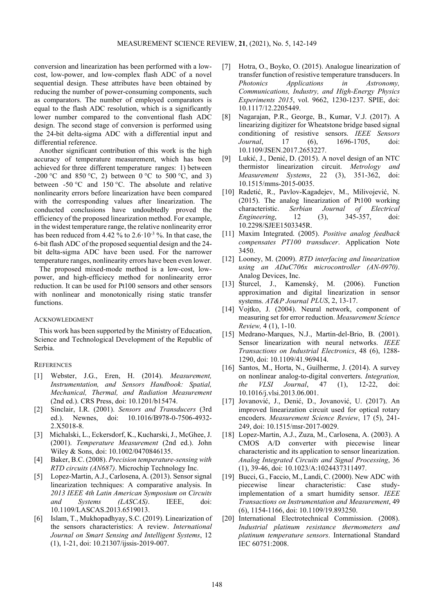conversion and linearization has been performed with a lowcost, low-power, and low-complex flash ADC of a novel sequential design. These attributes have been obtained by reducing the number of power-consuming components, such as comparators. The number of employed comparators is equal to the flash ADC resolution, which is a significantly lower number compared to the conventional flash ADC design. The second stage of conversion is performed using the 24-bit delta-sigma ADC with a differential input and differential reference.

Another significant contribution of this work is the high accuracy of temperature measurement, which has been achieved for three different temperature ranges: 1) between -200 °C and 850 °C, 2) between 0 °C to 500 °C, and 3) between -50 °C and 150 °C. The absolute and relative nonlinearity errors before linearization have been compared with the corresponding values after linearization. The conducted conclusions have undoubtedly proved the efficiency of the proposed linearization method. For example, in the widest temperature range, the relative nonlinearity error has been reduced from 4.42 % to  $2.6 \cdot 10^{-3}$  %. In that case, the 6-bit flash ADC of the proposed sequential design and the 24 bit delta-sigma ADC have been used. For the narrower temperature ranges, nonlinearity errors have been even lower.

The proposed mixed-mode method is a low-cost, lowpower, and high-efficiecy method for nonlinearity error reduction. It can be used for Pt100 sensors and other sensors with nonlinear and monotonically rising static transfer functions.

# ACKNOWLEDGMENT

This work has been supported by the Ministry of Education, Science and Technological Development of the Republic of Serbia.

# **REFERENCES**

- [1] Webster, J.G., Eren, H. (2014). *Measurement, Instrumentation, and Sensors Handbook: Spatial, Mechanical, Thermal, and Radiation Measurement* (2nd ed.). CRS Press, doi: 10.1201/b15474.
- [2] Sinclair, I.R. (2001). *Sensors and Transducers* (3rd ed.). Newnes, doi: 10.1016/B978-0-7506-4932- 2.X5018-8.
- [3] Michalski, L., Eckersdorf, K., Kucharski, J., McGhee, J. (2001). *Temperature Measurement* (2nd ed.). John Wiley & Sons, doi: 10.1002/0470846135.
- [4] Baker, B.C. (2008). *Precision temperature-sensing with RTD circuits (AN687)*. Microchip Technology Inc.
- [5] Lopez-Martin, A.J., Carlosena, A. (2013). Sensor signal linearization techniques: A comparative analysis. In *2013 IEEE 4th Latin American Symposium on Circuits and Systems (LASCAS)*. IEEE, doi: 10.1109/LASCAS.2013.6519013.
- [6] Islam, T., Mukhopadhyay, S.C. (2019). Linearization of the sensors characteristics: A review. *International Journal on Smart Sensing and Intelligent Systems*, 12 (1), 1-21, doi: 10.21307/ijssis-2019-007.
- [7] Hotra, O., Boyko, O. (2015). Analogue linearization of transfer function of resistive temperature transducers. In *Photonics Applications in Astronomy, Communications, Industry, and High-Energy Physics Experiments 2015*, vol. 9662, 1230-1237. SPIE, doi: 10.1117/12.2205449.
- [8] Nagarajan, P.R., George, B., Kumar, V.J. (2017). A linearizing digitizer for Wheatstone bridge based signal conditioning of resistive sensors. *IEEE Sensors Journal*, 17 (6), 1696-1705, doi: 10.1109/JSEN.2017.2653227.
- [9] Lukić, J., Denić, D. (2015). A novel design of an NTC thermistor linearization circuit. *Metrology and Measurement Systems*, 22 (3), 351-362, doi: 10.1515/mms-2015-0035.
- [10] Radetić, R., Pavlov-Kagadejev, M., Milivojević, N. (2015). The analog linearization of Pt100 working characteristic. *Serbian Journal of Electrical Engineering*, 12 (3), 345-357, doi: 10.2298/SJEE1503345R.
- [11] Maxim Integrated. (2005). *Positive analog feedback compensates PT100 transducer*. Application Note 3450.
- [12] Looney, M. (2009). *RTD interfacing and linearization using an ADuC706x microcontroller (AN-0970)*. Analog Devices, Inc.
- [13] Šturcel, J., Kamenský, M. (2006). Function approximation and digital linearization in sensor systems. *AT&P Journal PLUS*, 2, 13-17.
- [14] Vojtko, J. (2004). Neural network, component of measuring set for error reduction. *Measurement Science Review,* 4 (1), 1-10.
- [15] Medrano-Marques, N.J., Martin-del-Brio, B. (2001). Sensor linearization with neural networks. *IEEE Transactions on Industrial Electronics*, 48 (6), 1288- 1290, doi: 10.1109/41.969414.
- [16] Santos, M., Horta, N., Guilherme, J. (2014). A survey on nonlinear analog-to-digital converters. *Integration, the VLSI Journal*, 47 (1), 12-22, doi: 10.1016/j.vlsi.2013.06.001.
- [17] Jovanović, J., Denić, D., Jovanović, U. (2017). An improved linearization circuit used for optical rotary encoders. *Measurement Science Review*, 17 (5), 241- 249, doi: 10.1515/msr-2017-0029.
- [18] Lopez-Martin, A.J., Zuza, M., Carlosena, A. (2003). A CMOS A/D converter with piecewise linear characteristic and its application to sensor linearization. *Analog Integrated Circuits and Signal Processing*, 36 (1), 39-46, doi: 10.1023/A:1024437311497.
- [19] Bucci, G., Faccio, M., Landi, C. (2000). New ADC with piecewise linear characteristic: Case studyimplementation of a smart humidity sensor. *IEEE Transactions on Instrumentation and Measurement*, 49 (6), 1154-1166, doi: 10.1109/19.893250.
- [20] International Electrotechnical Commission. (2008). *Industrial platinum resistance thermometers and platinum temperature sensors*. International Standard IEC 60751:2008.